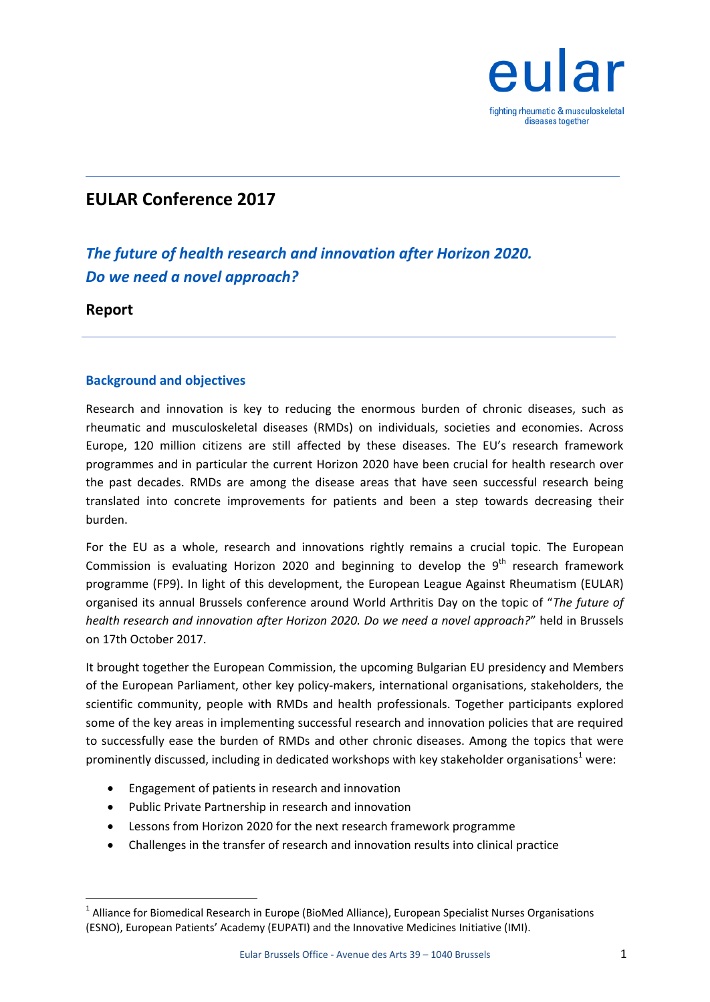

# **EULAR Conference 2017**

# *The future of health research and innovation after Horizon 2020. Do we need a novel approach?*

**Report**

## **Background and objectives**

Research and innovation is key to reducing the enormous burden of chronic diseases, such as rheumatic and musculoskeletal diseases (RMDs) on individuals, societies and economies. Across Europe, 120 million citizens are still affected by these diseases. The EU's research framework programmes and in particular the current Horizon 2020 have been crucial for health research over the past decades. RMDs are among the disease areas that have seen successful research being translated into concrete improvements for patients and been a step towards decreasing their burden.

For the EU as a whole, research and innovations rightly remains a crucial topic. The European Commission is evaluating Horizon 2020 and beginning to develop the  $9<sup>th</sup>$  research framework programme (FP9). In light of this development, the European League Against Rheumatism (EULAR) organised its annual Brussels conference around World Arthritis Day on the topic of "*The future of health research and innovation after Horizon 2020. Do we need a novel approach?*" held in Brussels on 17th October 2017.

It brought together the European Commission, the upcoming Bulgarian EU presidency and Members of the European Parliament, other key policy-makers, international organisations, stakeholders, the scientific community, people with RMDs and health professionals. Together participants explored some of the key areas in implementing successful research and innovation policies that are required to successfully ease the burden of RMDs and other chronic diseases. Among the topics that were prominently discussed, including in dedicated workshops with key stakeholder organisations<sup>1</sup> were:

- Engagement of patients in research and innovation
- Public Private Partnership in research and innovation
- Lessons from Horizon 2020 for the next research framework programme
- Challenges in the transfer of research and innovation results into clinical practice

 1 Alliance for Biomedical Research in Europe (BioMed Alliance), European Specialist Nurses Organisations (ESNO), European Patients' Academy (EUPATI) and the Innovative Medicines Initiative (IMI).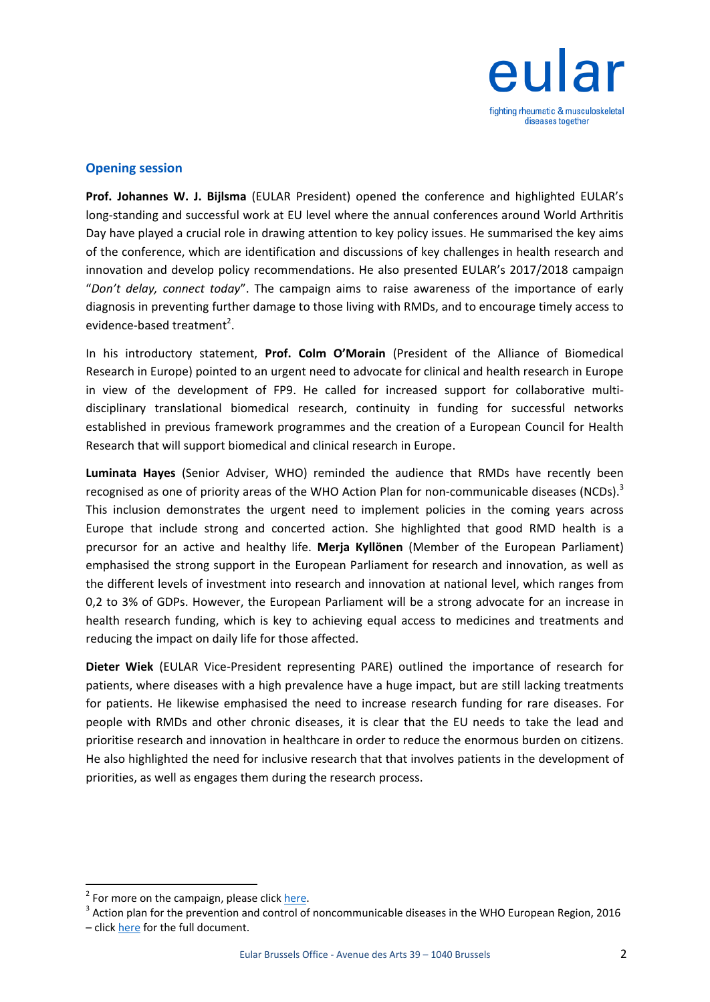

#### **Opening session**

**Prof. Johannes W. J. Bijlsma** (EULAR President) opened the conference and highlighted EULAR's long-standing and successful work at EU level where the annual conferences around World Arthritis Day have played a crucial role in drawing attention to key policy issues. He summarised the key aims of the conference, which are identification and discussions of key challenges in health research and innovation and develop policy recommendations. He also presented EULAR's 2017/2018 campaign "*Don't delay, connect today*". The campaign aims to raise awareness of the importance of early diagnosis in preventing further damage to those living with RMDs, and to encourage timely access to evidence-based treatment<sup>2</sup>.

In his introductory statement, **Prof. Colm O'Morain** (President of the Alliance of Biomedical Research in Europe) pointed to an urgent need to advocate for clinical and health research in Europe in view of the development of FP9. He called for increased support for collaborative multidisciplinary translational biomedical research, continuity in funding for successful networks established in previous framework programmes and the creation of a European Council for Health Research that will support biomedical and clinical research in Europe.

**Luminata Hayes** (Senior Adviser, WHO) reminded the audience that RMDs have recently been recognised as one of priority areas of the WHO Action Plan for non-communicable diseases (NCDs).<sup>3</sup> This inclusion demonstrates the urgent need to implement policies in the coming years across Europe that include strong and concerted action. She highlighted that good RMD health is a precursor for an active and healthy life. **Merja Kyllönen** (Member of the European Parliament) emphasised the strong support in the European Parliament for research and innovation, as well as the different levels of investment into research and innovation at national level, which ranges from 0,2 to 3% of GDPs. However, the European Parliament will be a strong advocate for an increase in health research funding, which is key to achieving equal access to medicines and treatments and reducing the impact on daily life for those affected.

**Dieter Wiek** (EULAR Vice-President representing PARE) outlined the importance of research for patients, where diseases with a high prevalence have a huge impact, but are still lacking treatments for patients. He likewise emphasised the need to increase research funding for rare diseases. For people with RMDs and other chronic diseases, it is clear that the EU needs to take the lead and prioritise research and innovation in healthcare in order to reduce the enormous burden on citizens. He also highlighted the need for inclusive research that that involves patients in the development of priorities, as well as engages them during the research process.

**.** 

<sup>&</sup>lt;sup>2</sup> For more on the campaign, please clic[k here.](https://www.eular.org/what_we_do_dont_delay_connect_today.cfm)

 $3$  Action plan for the prevention and control of noncommunicable diseases in the WHO European Region, 2016 – click [here](http://www.euro.who.int/__data/assets/pdf_file/0011/315398/66wd11e_NCDActionPlan_160522.pdf?ua=1) for the full document.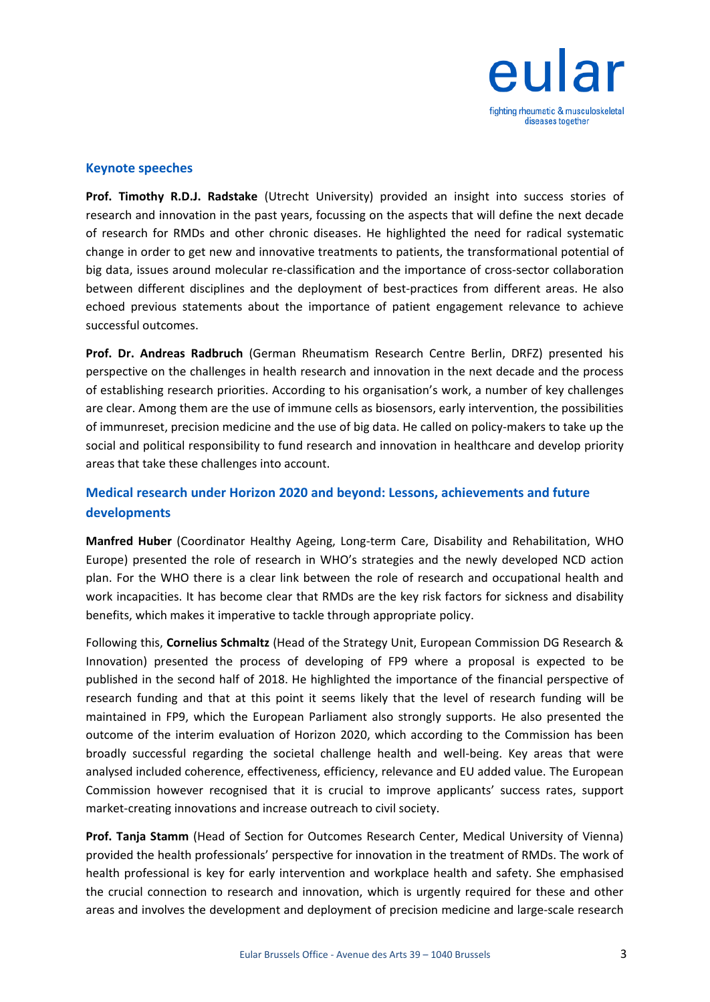

#### **Keynote speeches**

**Prof. Timothy R.D.J. Radstake** (Utrecht University) provided an insight into success stories of research and innovation in the past years, focussing on the aspects that will define the next decade of research for RMDs and other chronic diseases. He highlighted the need for radical systematic change in order to get new and innovative treatments to patients, the transformational potential of big data, issues around molecular re-classification and the importance of cross-sector collaboration between different disciplines and the deployment of best-practices from different areas. He also echoed previous statements about the importance of patient engagement relevance to achieve successful outcomes.

**Prof. Dr. Andreas Radbruch** (German Rheumatism Research Centre Berlin, DRFZ) presented his perspective on the challenges in health research and innovation in the next decade and the process of establishing research priorities. According to his organisation's work, a number of key challenges are clear. Among them are the use of immune cells as biosensors, early intervention, the possibilities of immunreset, precision medicine and the use of big data. He called on policy-makers to take up the social and political responsibility to fund research and innovation in healthcare and develop priority areas that take these challenges into account.

## **Medical research under Horizon 2020 and beyond: Lessons, achievements and future developments**

**Manfred Huber** (Coordinator Healthy Ageing, Long-term Care, Disability and Rehabilitation, WHO Europe) presented the role of research in WHO's strategies and the newly developed NCD action plan. For the WHO there is a clear link between the role of research and occupational health and work incapacities. It has become clear that RMDs are the key risk factors for sickness and disability benefits, which makes it imperative to tackle through appropriate policy.

Following this, **Cornelius Schmaltz** (Head of the Strategy Unit, European Commission DG Research & Innovation) presented the process of developing of FP9 where a proposal is expected to be published in the second half of 2018. He highlighted the importance of the financial perspective of research funding and that at this point it seems likely that the level of research funding will be maintained in FP9, which the European Parliament also strongly supports. He also presented the outcome of the interim evaluation of Horizon 2020, which according to the Commission has been broadly successful regarding the societal challenge health and well-being. Key areas that were analysed included coherence, effectiveness, efficiency, relevance and EU added value. The European Commission however recognised that it is crucial to improve applicants' success rates, support market-creating innovations and increase outreach to civil society.

**Prof. Tanja Stamm** (Head of Section for Outcomes Research Center, Medical University of Vienna) provided the health professionals' perspective for innovation in the treatment of RMDs. The work of health professional is key for early intervention and workplace health and safety. She emphasised the crucial connection to research and innovation, which is urgently required for these and other areas and involves the development and deployment of precision medicine and large-scale research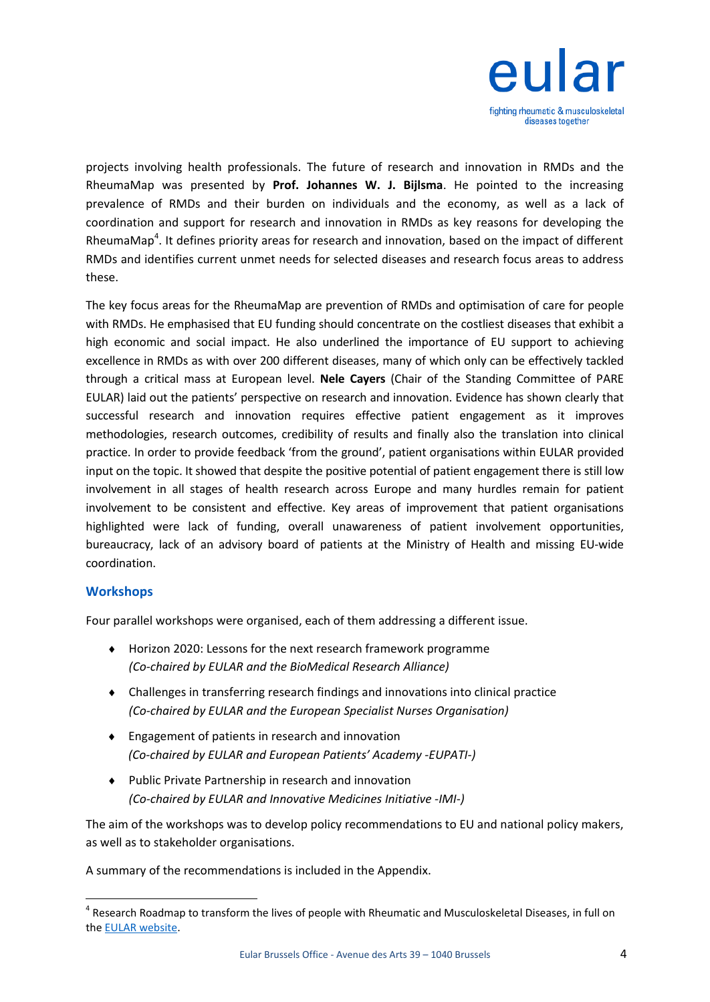

projects involving health professionals. The future of research and innovation in RMDs and the RheumaMap was presented by **Prof. Johannes W. J. Bijlsma**. He pointed to the increasing prevalence of RMDs and their burden on individuals and the economy, as well as a lack of coordination and support for research and innovation in RMDs as key reasons for developing the RheumaMap<sup>4</sup>. It defines priority areas for research and innovation, based on the impact of different RMDs and identifies current unmet needs for selected diseases and research focus areas to address these.

The key focus areas for the RheumaMap are prevention of RMDs and optimisation of care for people with RMDs. He emphasised that EU funding should concentrate on the costliest diseases that exhibit a high economic and social impact. He also underlined the importance of EU support to achieving excellence in RMDs as with over 200 different diseases, many of which only can be effectively tackled through a critical mass at European level. **Nele Cayers** (Chair of the Standing Committee of PARE EULAR) laid out the patients' perspective on research and innovation. Evidence has shown clearly that successful research and innovation requires effective patient engagement as it improves methodologies, research outcomes, credibility of results and finally also the translation into clinical practice. In order to provide feedback 'from the ground', patient organisations within EULAR provided input on the topic. It showed that despite the positive potential of patient engagement there is still low involvement in all stages of health research across Europe and many hurdles remain for patient involvement to be consistent and effective. Key areas of improvement that patient organisations highlighted were lack of funding, overall unawareness of patient involvement opportunities, bureaucracy, lack of an advisory board of patients at the Ministry of Health and missing EU-wide coordination.

#### **Workshops**

1

Four parallel workshops were organised, each of them addressing a different issue.

- Horizon 2020: Lessons for the next research framework programme *(Co-chaired by EULAR and the BioMedical Research Alliance)*
- Challenges in transferring research findings and innovations into clinical practice *(Co-chaired by EULAR and the European Specialist Nurses Organisation)*
- Engagement of patients in research and innovation *(Co-chaired by EULAR and European Patients' Academy -EUPATI-)*
- Public Private Partnership in research and innovation *(Co-chaired by EULAR and Innovative Medicines Initiative -IMI-)*

The aim of the workshops was to develop policy recommendations to EU and national policy makers, as well as to stakeholder organisations.

A summary of the recommendations is included in the Appendix.

<sup>&</sup>lt;sup>4</sup> Research Roadmap to transform the lives of people with Rheumatic and Musculoskeletal Diseases, in full on the [EULAR website.](https://www.eular.org/public_affairs_rheumamap.cfm)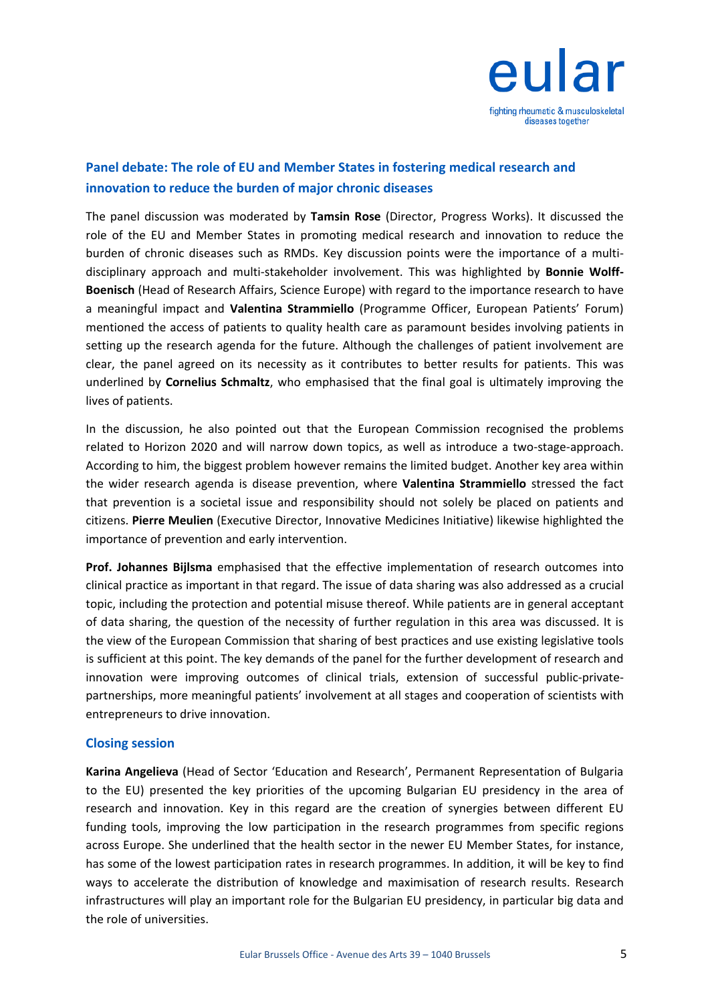

## **Panel debate: The role of EU and Member States in fostering medical research and innovation to reduce the burden of major chronic diseases**

The panel discussion was moderated by **Tamsin Rose** (Director, Progress Works). It discussed the role of the EU and Member States in promoting medical research and innovation to reduce the burden of chronic diseases such as RMDs. Key discussion points were the importance of a multidisciplinary approach and multi-stakeholder involvement. This was highlighted by **Bonnie Wolff-Boenisch** (Head of Research Affairs, Science Europe) with regard to the importance research to have a meaningful impact and **Valentina Strammiello** (Programme Officer, European Patients' Forum) mentioned the access of patients to quality health care as paramount besides involving patients in setting up the research agenda for the future. Although the challenges of patient involvement are clear, the panel agreed on its necessity as it contributes to better results for patients. This was underlined by **Cornelius Schmaltz**, who emphasised that the final goal is ultimately improving the lives of patients.

In the discussion, he also pointed out that the European Commission recognised the problems related to Horizon 2020 and will narrow down topics, as well as introduce a two-stage-approach. According to him, the biggest problem however remains the limited budget. Another key area within the wider research agenda is disease prevention, where **Valentina Strammiello** stressed the fact that prevention is a societal issue and responsibility should not solely be placed on patients and citizens. **Pierre Meulien** (Executive Director, Innovative Medicines Initiative) likewise highlighted the importance of prevention and early intervention.

**Prof. Johannes Bijlsma** emphasised that the effective implementation of research outcomes into clinical practice as important in that regard. The issue of data sharing was also addressed as a crucial topic, including the protection and potential misuse thereof. While patients are in general acceptant of data sharing, the question of the necessity of further regulation in this area was discussed. It is the view of the European Commission that sharing of best practices and use existing legislative tools is sufficient at this point. The key demands of the panel for the further development of research and innovation were improving outcomes of clinical trials, extension of successful public-privatepartnerships, more meaningful patients' involvement at all stages and cooperation of scientists with entrepreneurs to drive innovation.

#### **Closing session**

**Karina Angelieva** (Head of Sector 'Education and Research', Permanent Representation of Bulgaria to the EU) presented the key priorities of the upcoming Bulgarian EU presidency in the area of research and innovation. Key in this regard are the creation of synergies between different EU funding tools, improving the low participation in the research programmes from specific regions across Europe. She underlined that the health sector in the newer EU Member States, for instance, has some of the lowest participation rates in research programmes. In addition, it will be key to find ways to accelerate the distribution of knowledge and maximisation of research results. Research infrastructures will play an important role for the Bulgarian EU presidency, in particular big data and the role of universities.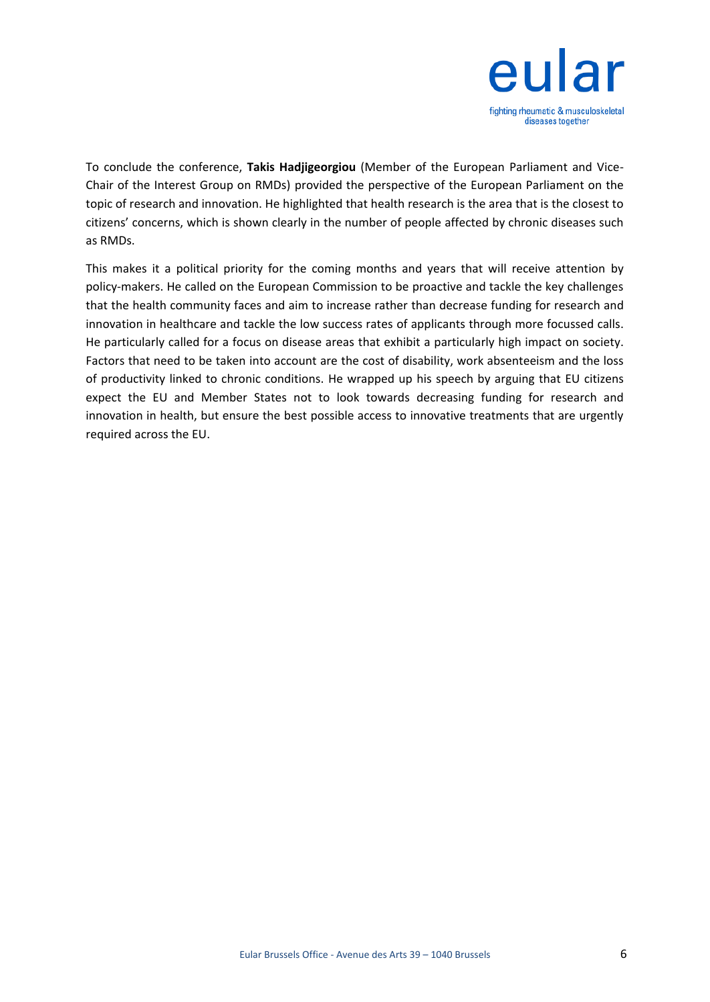

To conclude the conference, **Takis Hadjigeorgiou** (Member of the European Parliament and Vice-Chair of the Interest Group on RMDs) provided the perspective of the European Parliament on the topic of research and innovation. He highlighted that health research is the area that is the closest to citizens' concerns, which is shown clearly in the number of people affected by chronic diseases such as RMDs.

This makes it a political priority for the coming months and years that will receive attention by policy-makers. He called on the European Commission to be proactive and tackle the key challenges that the health community faces and aim to increase rather than decrease funding for research and innovation in healthcare and tackle the low success rates of applicants through more focussed calls. He particularly called for a focus on disease areas that exhibit a particularly high impact on society. Factors that need to be taken into account are the cost of disability, work absenteeism and the loss of productivity linked to chronic conditions. He wrapped up his speech by arguing that EU citizens expect the EU and Member States not to look towards decreasing funding for research and innovation in health, but ensure the best possible access to innovative treatments that are urgently required across the EU.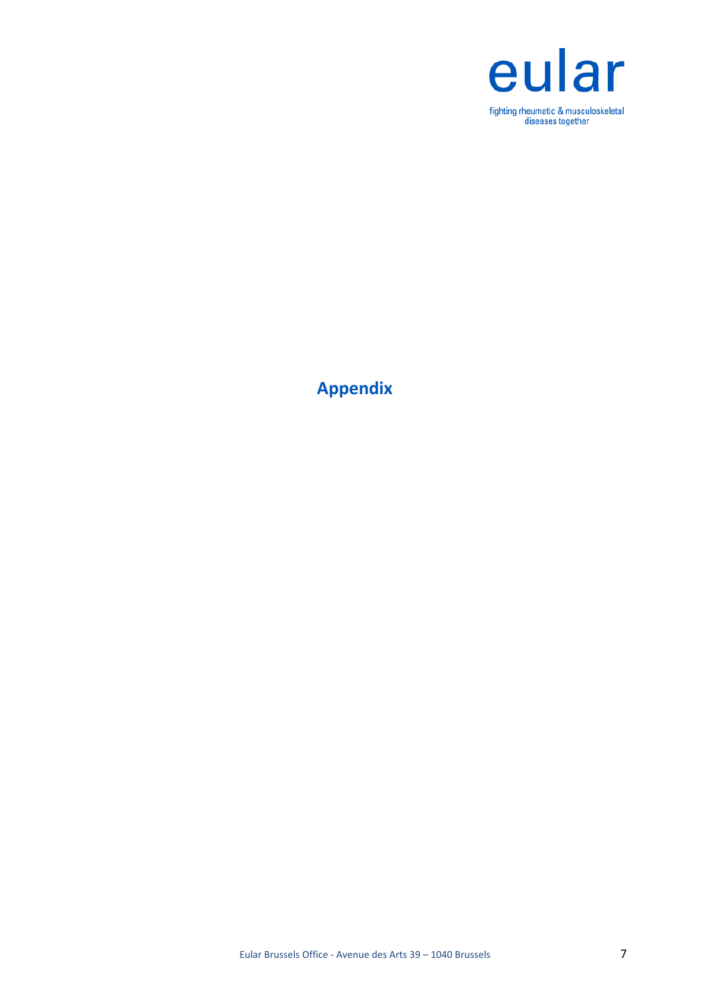

**Appendix**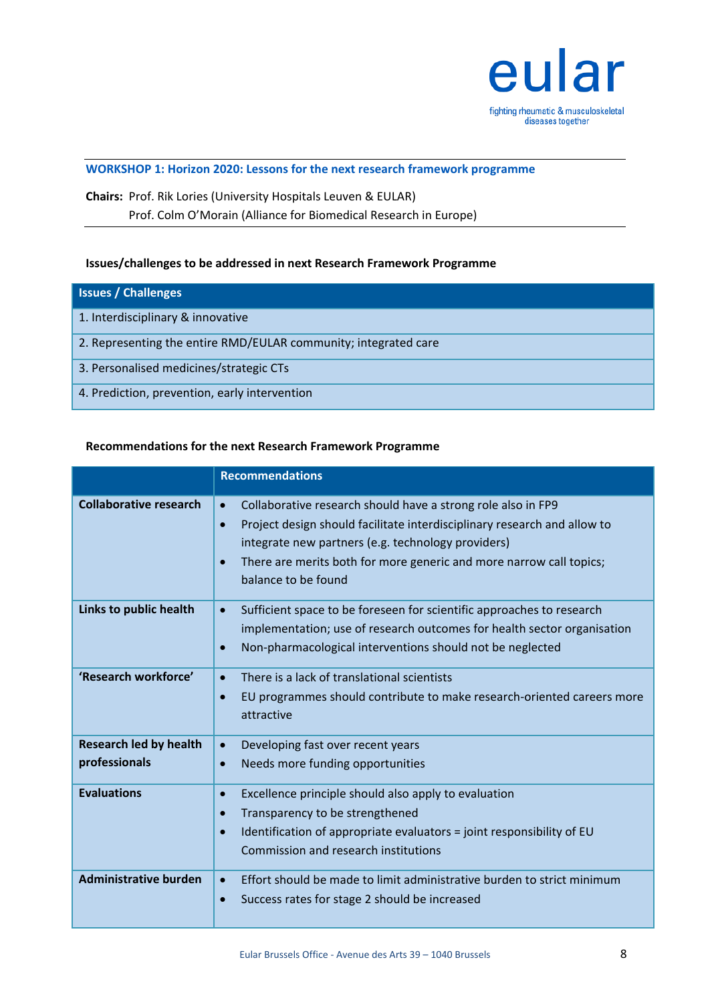

#### **WORKSHOP 1: Horizon 2020: Lessons for the next research framework programme**

## **Chairs:** Prof. Rik Lories (University Hospitals Leuven & EULAR) Prof. Colm O'Morain (Alliance for Biomedical Research in Europe)

#### **Issues/challenges to be addressed in next Research Framework Programme**

| <b>Issues / Challenges</b>                                      |
|-----------------------------------------------------------------|
| 1. Interdisciplinary & innovative                               |
| 2. Representing the entire RMD/EULAR community; integrated care |
| 3. Personalised medicines/strategic CTs                         |
| 4. Prediction, prevention, early intervention                   |

#### **Recommendations for the next Research Framework Programme**

|                                                | <b>Recommendations</b>                                                                                                                                                                                                                                                                                                              |
|------------------------------------------------|-------------------------------------------------------------------------------------------------------------------------------------------------------------------------------------------------------------------------------------------------------------------------------------------------------------------------------------|
| <b>Collaborative research</b>                  | Collaborative research should have a strong role also in FP9<br>$\bullet$<br>Project design should facilitate interdisciplinary research and allow to<br>$\bullet$<br>integrate new partners (e.g. technology providers)<br>There are merits both for more generic and more narrow call topics;<br>$\bullet$<br>balance to be found |
| Links to public health                         | Sufficient space to be foreseen for scientific approaches to research<br>$\bullet$<br>implementation; use of research outcomes for health sector organisation<br>Non-pharmacological interventions should not be neglected<br>$\bullet$                                                                                             |
| 'Research workforce'                           | There is a lack of translational scientists<br>$\bullet$<br>EU programmes should contribute to make research-oriented careers more<br>$\bullet$<br>attractive                                                                                                                                                                       |
| <b>Research led by health</b><br>professionals | Developing fast over recent years<br>$\bullet$<br>Needs more funding opportunities<br>$\bullet$                                                                                                                                                                                                                                     |
| <b>Evaluations</b>                             | Excellence principle should also apply to evaluation<br>$\bullet$<br>Transparency to be strengthened<br>$\bullet$<br>Identification of appropriate evaluators = joint responsibility of EU<br>$\bullet$<br>Commission and research institutions                                                                                     |
| <b>Administrative burden</b>                   | Effort should be made to limit administrative burden to strict minimum<br>$\bullet$<br>Success rates for stage 2 should be increased<br>$\bullet$                                                                                                                                                                                   |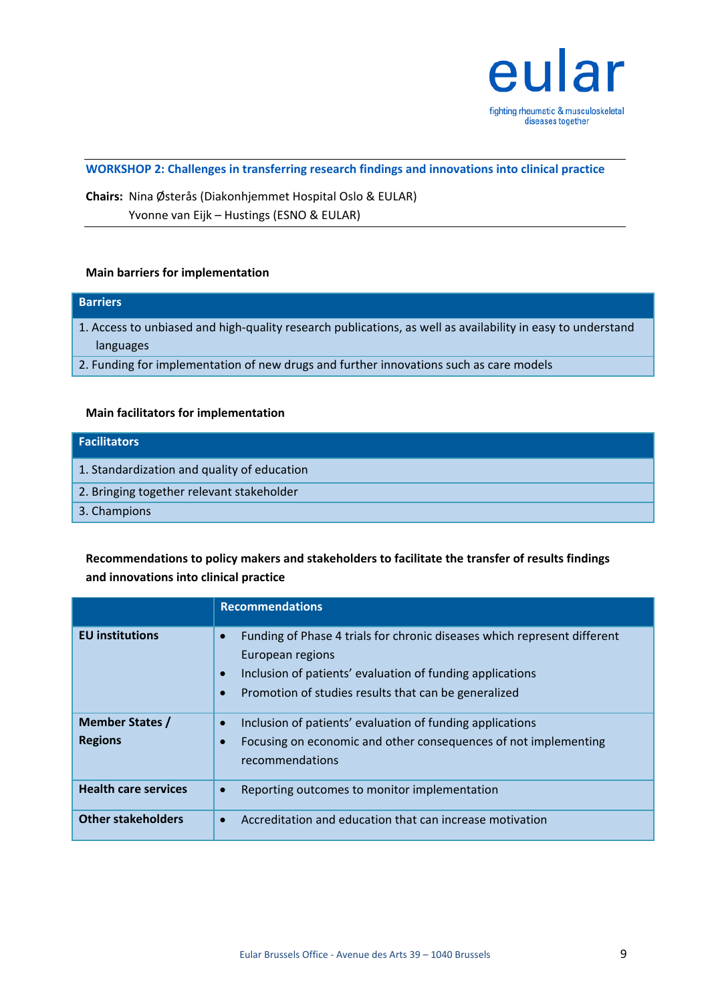

**WORKSHOP 2: Challenges in transferring research findings and innovations into clinical practice**

**Chairs:** Nina Østerås (Diakonhjemmet Hospital Oslo & EULAR) Yvonne van Eijk – Hustings (ESNO & EULAR)

#### **Main barriers for implementation**

# **Barriers** 1. Access to unbiased and high-quality research publications, as well as availability in easy to understand languages 2. Funding for implementation of new drugs and further innovations such as care models

#### **Main facilitators for implementation**

| Facilitators                                |
|---------------------------------------------|
| 1. Standardization and quality of education |
| 2. Bringing together relevant stakeholder   |
| 3. Champions                                |

## **Recommendations to policy makers and stakeholders to facilitate the transfer of results findings and innovations into clinical practice**

|                                          | <b>Recommendations</b>                                                                                                                                                                                                                                   |
|------------------------------------------|----------------------------------------------------------------------------------------------------------------------------------------------------------------------------------------------------------------------------------------------------------|
| <b>EU</b> institutions                   | Funding of Phase 4 trials for chronic diseases which represent different<br>$\bullet$<br>European regions<br>Inclusion of patients' evaluation of funding applications<br>$\bullet$<br>Promotion of studies results that can be generalized<br>$\bullet$ |
| <b>Member States /</b><br><b>Regions</b> | Inclusion of patients' evaluation of funding applications<br>$\bullet$<br>Focusing on economic and other consequences of not implementing<br>$\bullet$<br>recommendations                                                                                |
| <b>Health care services</b>              | Reporting outcomes to monitor implementation<br>$\bullet$                                                                                                                                                                                                |
| <b>Other stakeholders</b>                | Accreditation and education that can increase motivation<br>$\bullet$                                                                                                                                                                                    |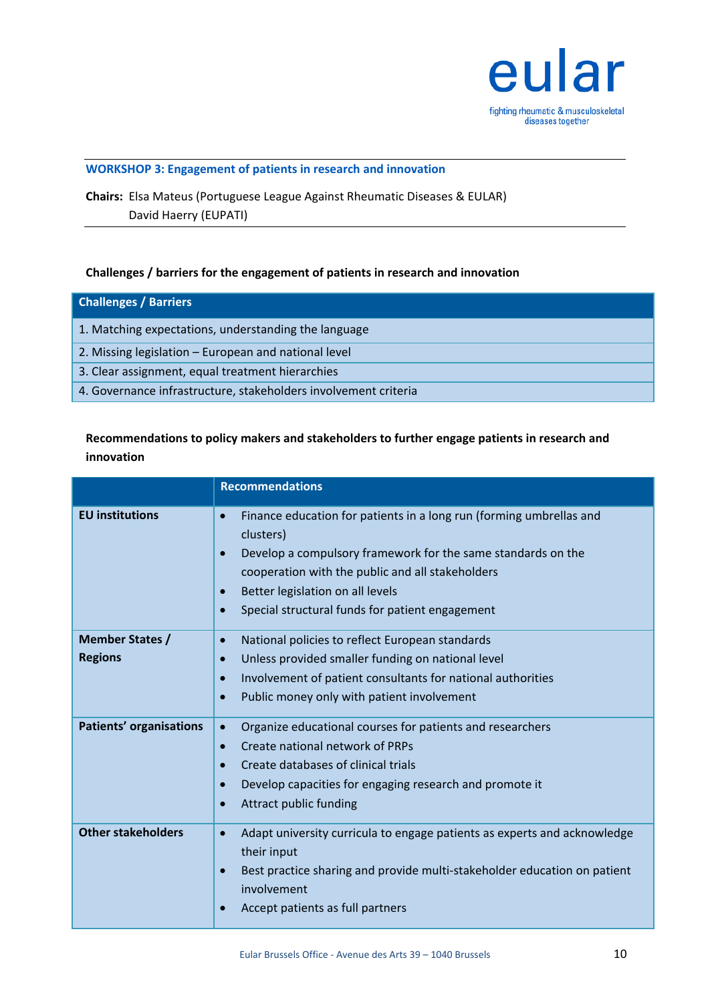

#### **WORKSHOP 3: Engagement of patients in research and innovation**

**Chairs:** Elsa Mateus (Portuguese League Against Rheumatic Diseases & EULAR) David Haerry (EUPATI)

#### **Challenges / barriers for the engagement of patients in research and innovation**

| <b>Challenges / Barriers</b>                                    |
|-----------------------------------------------------------------|
| 1. Matching expectations, understanding the language            |
| 2. Missing legislation – European and national level            |
| 3. Clear assignment, equal treatment hierarchies                |
| 4. Governance infrastructure, stakeholders involvement criteria |

## **Recommendations to policy makers and stakeholders to further engage patients in research and innovation**

|                                | <b>Recommendations</b>                                                                                                                                                                                                                                                                                                                          |
|--------------------------------|-------------------------------------------------------------------------------------------------------------------------------------------------------------------------------------------------------------------------------------------------------------------------------------------------------------------------------------------------|
| <b>EU</b> institutions         | Finance education for patients in a long run (forming umbrellas and<br>$\bullet$<br>clusters)<br>Develop a compulsory framework for the same standards on the<br>$\bullet$<br>cooperation with the public and all stakeholders<br>Better legislation on all levels<br>$\bullet$<br>Special structural funds for patient engagement<br>$\bullet$ |
| <b>Member States /</b>         | National policies to reflect European standards<br>$\bullet$                                                                                                                                                                                                                                                                                    |
| <b>Regions</b>                 | Unless provided smaller funding on national level<br>$\bullet$                                                                                                                                                                                                                                                                                  |
|                                | Involvement of patient consultants for national authorities<br>$\bullet$                                                                                                                                                                                                                                                                        |
|                                | Public money only with patient involvement<br>$\bullet$                                                                                                                                                                                                                                                                                         |
| <b>Patients' organisations</b> | Organize educational courses for patients and researchers<br>$\bullet$                                                                                                                                                                                                                                                                          |
|                                | Create national network of PRPs<br>$\bullet$                                                                                                                                                                                                                                                                                                    |
|                                | Create databases of clinical trials<br>$\bullet$                                                                                                                                                                                                                                                                                                |
|                                | Develop capacities for engaging research and promote it<br>$\bullet$                                                                                                                                                                                                                                                                            |
|                                | Attract public funding<br>$\bullet$                                                                                                                                                                                                                                                                                                             |
| <b>Other stakeholders</b>      | Adapt university curricula to engage patients as experts and acknowledge<br>$\bullet$<br>their input                                                                                                                                                                                                                                            |
|                                | Best practice sharing and provide multi-stakeholder education on patient<br>$\bullet$<br>involvement                                                                                                                                                                                                                                            |
|                                | Accept patients as full partners<br>$\bullet$                                                                                                                                                                                                                                                                                                   |